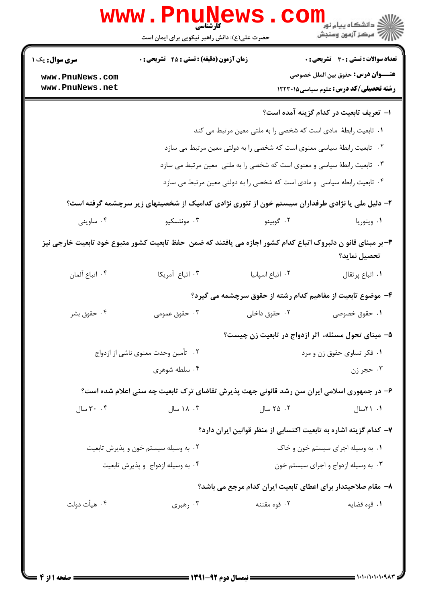| <b>سری سوال :</b> یک ۱ | <b>زمان آزمون (دقیقه) : تستی : 45 تشریحی : 0</b>                                                             |                                                                           | <b>تعداد سوالات : تستی : 30 - تشریحی : 0</b> |
|------------------------|--------------------------------------------------------------------------------------------------------------|---------------------------------------------------------------------------|----------------------------------------------|
| www.PnuNews.com        |                                                                                                              |                                                                           | <b>عنــــوان درس:</b> حقوق بین الملل خصوصی   |
| www.PnuNews.net        |                                                                                                              |                                                                           | <b>رشته تحصیلی/کد درس:</b> علوم سیاسی1۲۲۲۰۱۵ |
|                        |                                                                                                              |                                                                           | ا– تعریف تابعیت در کدام گزینه آمده است؟      |
|                        |                                                                                                              | ١. تابعيت رابطهٔ مادي است كه شخصي را به ملتي معين مرتبط مي كند            |                                              |
|                        |                                                                                                              | ۰۲ تابعیت رابطهٔ سیاسی معنوی است که شخصی را به دولتی معین مرتبط می سازد   |                                              |
|                        |                                                                                                              | ۰۳ تابعیت رابطهٔ سیاسی و معنوی است که شخصی را به ملتی ًمعین مرتبط می سازد |                                              |
|                        |                                                                                                              | ۰۴ تابعیت رابطه سیاسی و مادی است که شخصی را به دولتی معین مرتبط می سازد   |                                              |
|                        | ۲- دلیل ملی یا نژادی طرفداران سیستم خون از تئوری نژادی کدامیک از شخصیتهای زیر سرچشمه گرفته است؟              |                                                                           |                                              |
| ۰۴ ساوينى              | ۰۳ مونتسکیو                                                                                                  | ۰۲ گوبينو                                                                 | ۰۱ ویتوریا                                   |
|                        | ۳- بر مبنای قانو ن دلبروک اتباع کدام کشور اجازه می یافتند که ضمن  حفظ تابعیت کشور متبوع خود تابعیت خارجی نیز |                                                                           | تحصيل نمايد؟                                 |
| ۰۴ اتباع آلمان         | ٠٣ اتباع آمريكا                                                                                              | ۰۲ اتباع اسپانیا                                                          | ٠١ اتباع پرتقال                              |
|                        |                                                                                                              | ۴- موضوع تابعیت از مفاهیم کدام رشته از حقوق سرچشمه می گیرد؟               |                                              |
| ۰۴ حقوق بشر            | ۰۳ حقوق عمومی                                                                                                | ۰۲ حقوق داخلی                                                             | ۰۱ حقوق خصوصی                                |
|                        |                                                                                                              | ۵– مبنای تحول مسئله، اثر ازدواج در تابعیت زن چیست؟                        |                                              |
|                        | ۰۲ تأمین وحدت معنوی ناشی از ازدواج                                                                           |                                                                           | ۰۱ فکر تساوی حقوق زن و مرد                   |
|                        | ۰۴ سلطه شوهری                                                                                                |                                                                           | ۰۳ حجر زن                                    |
|                        | ۶– در جمهوری اسلامی ایران سن رشد قانونی جهت پذیرش تقاضای ترک تابعیت چه سنی اعلام شده است؟                    |                                                                           |                                              |
| ۰۴ سال                 | ۰۳ ۱۸ سال                                                                                                    | ۰۲ سال                                                                    | ۱. ۲۱سال                                     |
|                        |                                                                                                              | ۷– کدام گزینه اشاره به تابعیت اکتسابی از منظر قوانین ایران دارد؟          |                                              |
|                        | ۰۲ به وسیله سیستم خون و پذیرش تابعیت                                                                         |                                                                           | ۰۱ به وسیله اجرای سیستم خون و خاک            |
|                        | ۰۴ به وسیله ازدواج و پذیرش تابعیت                                                                            | ۰۳ به وسیله ازدواج و اجرای سیستم خون                                      |                                              |
|                        |                                                                                                              | ٨− مقام صلاحیتدار برای اعطای تابعیت ایران کدام مرجع می باشد؟              |                                              |
| ۰۴ هيأت دولت           | ۰۳ رهبری                                                                                                     | ۰۲ قوه مقننه                                                              | ۰۱ قوه قضايه                                 |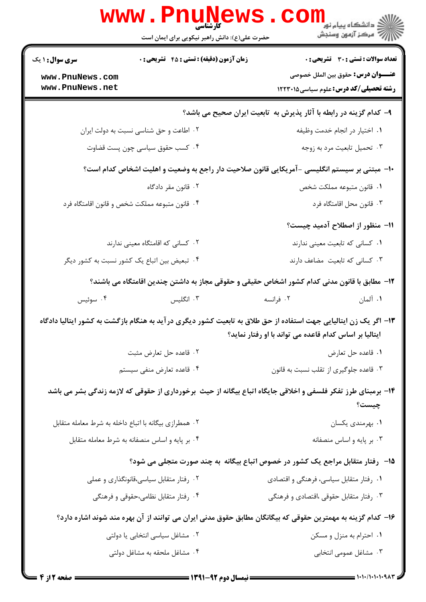|                                                | www.PnuNews                                           | ر دانشڪاه پيام نور <mark>−</mark><br>ا∛ مرکز آزمون وسنڊش                                                                                                                    |
|------------------------------------------------|-------------------------------------------------------|-----------------------------------------------------------------------------------------------------------------------------------------------------------------------------|
|                                                | حضرت علی(ع): دانش راهبر نیکویی برای ایمان است         |                                                                                                                                                                             |
| <b>سری سوال : ۱ یک</b>                         | <b>زمان آزمون (دقیقه) : تستی : 45 تشریحی : 0</b>      | تعداد سوالات : تستي : 30 ٪ تشريحي : 0                                                                                                                                       |
| www.PnuNews.com<br>www.PnuNews.net             |                                                       | <b>عنــــوان درس:</b> حقوق بين الملل خصوصي<br><b>رشته تحصیلی/کد درس:</b> علوم سیاسی1۲۲۳۰۱۵                                                                                  |
|                                                |                                                       | ۹- کدام گزینه در رابطه با آثار پذیرش به تابعیت ایران صحیح می باشد؟                                                                                                          |
|                                                | ۰۲ اطاعت و حق شناسی نسبت به دولت ایران                | ٠١. اختيار در انجام خدمت وظيفه                                                                                                                                              |
|                                                | ۰۴ کسب حقوق سیاسی چون پست قضاوت                       | ۰۳ تحمیل تابعیت مرد به زوجه                                                                                                                                                 |
|                                                |                                                       | ∙ا− مبتنی بر سیستم انگلیسی −آمریکایی قانون صلاحیت دار راجع به وضعیت و اهلیت اشخاص کدام است؟                                                                                 |
|                                                | ۰۲ قانون مقر دادگاه                                   | ٠١. قانون متبوعه مملكت شخص                                                                                                                                                  |
|                                                | ۰۴ قانون متبوعه مملكت شخص و قانون اقامتگاه فرد        | ۰۳ قانون محل اقامتگاه فرد                                                                                                                                                   |
|                                                |                                                       | 11- منظور از اصطلاح آدمید چیست؟                                                                                                                                             |
|                                                | ۰۲ کسانی که اقامتگاه معینی ندارند                     | ١. كساني كه تابعيت معيني ندارند                                                                                                                                             |
|                                                | ۰۴ تبعیض بین اتباع یک کشور نسبت به کشور دیگر          | ۰۳ کسانی که تابعیت مضاعف دارند                                                                                                                                              |
|                                                |                                                       | 1۲– مطابق با قانون مدنی کدام کشور اشخاص حقیقی و حقوقی مجاز به داشتن چندین اقامتگاه می باشند؟                                                                                |
| ۰۴ سوئيس                                       | ۰۳ انگلیس                                             | ۰۱ آلمان<br>۰۲ فرانسه                                                                                                                                                       |
|                                                |                                                       | ۱۳– اگر یک زن ایتالیایی جهت استفاده از حق طلاق به تابعیت کشور دیگری در آید به هنگام بازگشت به کشور ایتالیا دادگاه<br>ایتالیا بر اساس کدام قاعده می تواند با او رفتار نماید؟ |
|                                                | ۰۲ قاعده حل تعارض مثبت                                | ٠١. قاعده حل تعارض                                                                                                                                                          |
|                                                | ۰۴ قاعده تعارض منفی سیستم                             | ۰۳ قاعده جلوگیری از تقلب نسبت به قانون                                                                                                                                      |
|                                                |                                                       | ۱۴- برمبنای طرز تفکر فلسفی و اخلاقی جایگاه اتباع بیگانه از حیث برخورداری از حقوقی که لازمه زندگی بشر می باشد<br>چیست؟                                                       |
|                                                | ۰۲ همطرازی بیگانه با اتباع داخله به شرط معامله متقابل | ۰۱ بهرمندي يكسان                                                                                                                                                            |
| ۰۴ بر پایه و اساس منصفانه به شرط معامله متقابل |                                                       | ۰۳ بر پایه و اساس منصفانه                                                                                                                                                   |
|                                                |                                                       | ۱۵-۔ رفتار متقابل مراجع یک کشور در خصوص اتباع بیگانه به چند صورت متجلی می شود؟                                                                                              |
|                                                | ۰۲ رفتار متقابل سیاسی،قانونگذاری و عملی               | ۰۱ رفتار متقابل سیاسی، فرهنگی و اقتصادی                                                                                                                                     |
|                                                | ۰۴ رفتار متقابل نظامی،حقوقی و فرهنگی                  | ۰۳ رفتار متقابل حقوقی ،اقتصادی و فرهنگی                                                                                                                                     |
|                                                |                                                       | ۱۶– کدام گزینه به مهمترین حقوقی که بیگانگان مطابق حقوق مدنی ایران می توانند از آن بهره مند شوند اشاره دارد؟                                                                 |
|                                                | ۰۲ مشاغل سیاسی انتخابی یا دولتی                       | ۰۱ احترام به منزل و مسکن                                                                                                                                                    |
| ۰۴ مشاغل ملحقه به مشاغل دولتی                  |                                                       | ۰۳ مشاغل عمومی انتخابی                                                                                                                                                      |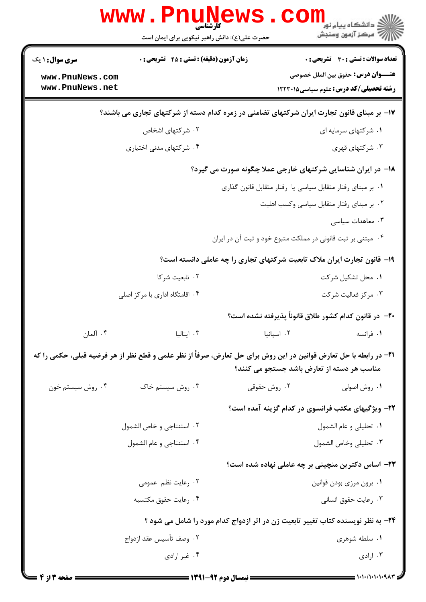|                                                                                            | www . Pn<br><b>کارشناسی</b><br>حضرت علی(ع): دانش راهبر نیکویی برای ایمان است                                                                                            |                      | ز دانشگاه پیام نور<br>ز<br>۔<br>7 مرڪز آزمون وسنڊش                                         |  |
|--------------------------------------------------------------------------------------------|-------------------------------------------------------------------------------------------------------------------------------------------------------------------------|----------------------|--------------------------------------------------------------------------------------------|--|
| <b>سری سوال :</b> ۱ یک<br>www.PnuNews.com                                                  | <b>زمان آزمون (دقیقه) : تستی : 45 گشریحی : 0</b>                                                                                                                        |                      | <b>تعداد سوالات : تستي : 30 ٪ تشريحي : 0</b><br><b>عنــــوان درس:</b> حقوق بين الملل خصوصي |  |
| www.PnuNews.net                                                                            |                                                                                                                                                                         |                      | <b>رشته تحصیلی/کد درس:</b> علوم سیاسی1۲۲۲۰۱۵                                               |  |
| ۱۷- بر مبنای قانون تجارت ایران شرکتهای تضامنی در زمره کدام دسته از شرکتهای تجاری می باشند؟ |                                                                                                                                                                         |                      |                                                                                            |  |
|                                                                                            | ۰۲ شرکتهای اشخاص                                                                                                                                                        | ۰۱ شرکتهای سرمایه ای |                                                                                            |  |
|                                                                                            | ۰۴ شرکتهای مدنی اختیاری                                                                                                                                                 |                      | ۰۳ شرکتهای قهری                                                                            |  |
| <b>۱۸</b> - در ایران شناسایی شرکتهای خارجی عملا چگونه صورت می گیرد؟                        |                                                                                                                                                                         |                      |                                                                                            |  |
| ٠. بر مبناي رفتار متقابل سياسي يا رفتار متقابل قانون گذاري                                 |                                                                                                                                                                         |                      |                                                                                            |  |
|                                                                                            | ٠٢ بر مبناي رفتار متقابل سياسي وكسب اهليت                                                                                                                               |                      |                                                                                            |  |
|                                                                                            |                                                                                                                                                                         |                      | ۰۳ معاهدات سیاسی                                                                           |  |
| ۰۴ مبتنی بر ثبت قانونی در مملکت متبوع خود و ثبت آن در ایران                                |                                                                                                                                                                         |                      |                                                                                            |  |
|                                                                                            |                                                                                                                                                                         |                      | ۱۹- قانون تجارت ایران ملاک تابعیت شرکتهای تجاری را چه عاملی دانسته است؟                    |  |
|                                                                                            | ٠٢ تابعيت شركا                                                                                                                                                          |                      | ۰۱ محل تشکیل شرکت                                                                          |  |
|                                                                                            | ۰۴ اقامتگاه اداری با مرکز اصلی                                                                                                                                          |                      | ۰۳ مرکز فعالیت شرکت                                                                        |  |
|                                                                                            |                                                                                                                                                                         |                      | +٢- در قانون كدام كشور طلاق قانوناً پذيرفته نشده است؟                                      |  |
| ۰۴ آلمان                                                                                   | ۰۳ ایتالیا                                                                                                                                                              | ٠٢ اسيانيا           | ٠١. فرانسه                                                                                 |  |
|                                                                                            | <b>ا۲−</b> در رابطه با حل تعارض قوانین در این روش برای حل تعارض، صرفاً از نظر علمی و قطع نظر از هر فرضیه قبلی، حکمی را که<br>مناسب هر دسته از تعارض باشد جستجو می کنند؟ |                      |                                                                                            |  |
| ۰۴ روش سیستم خون                                                                           | ۰۳ روش سیستم خاک                                                                                                                                                        | ۰۲ روش حقوقی         | ۰۱ روش اصولی                                                                               |  |
|                                                                                            |                                                                                                                                                                         |                      | <b>۲۲</b> – ویژگیهای مکتب فرانسوی در کدام گزینه آمده است؟                                  |  |
|                                                                                            | ٢. استنتاجي و خاص الشمول                                                                                                                                                |                      | ٠١ تحليلي و عام الشمول                                                                     |  |
|                                                                                            | ۰۴ استنتاجي و عام الشمول                                                                                                                                                |                      | ٠٣ تحليلي وخاص الشمول                                                                      |  |
|                                                                                            |                                                                                                                                                                         |                      | ۲۳– اساس دکترین منچینی بر چه عاملی نهاده شده است؟                                          |  |
| ۰۲ رعایت نظم عمومی                                                                         |                                                                                                                                                                         |                      | ۰۱ برون مرزی بودن قوانین                                                                   |  |
|                                                                                            | ۰۴ رعايت حقوق مكتسبه                                                                                                                                                    | ۰۳ رعايت حقوق انساني |                                                                                            |  |
|                                                                                            |                                                                                                                                                                         |                      | ۲۴- به نظر نویسنده کتاب تغییر تابعیت زن در اثر ازدواج کدام مورد را شامل می شود ؟           |  |
|                                                                                            | ٠٢ وصف تأسيس عقد ازدواج                                                                                                                                                 |                      | ۰۱ سلطه شوهری                                                                              |  |
|                                                                                            | ۰۴ غیر ارادی                                                                                                                                                            |                      | ۰۳ ارادی                                                                                   |  |
| <b>: صفحه 3 از 4 =</b>                                                                     |                                                                                                                                                                         |                      |                                                                                            |  |